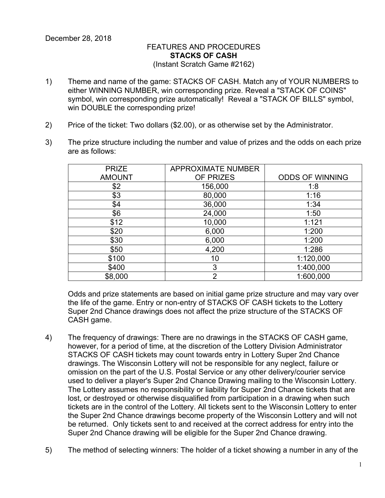## FEATURES AND PROCEDURES **STACKS OF CASH** (Instant Scratch Game #2162)

- 1) Theme and name of the game: STACKS OF CASH. Match any of YOUR NUMBERS to either WINNING NUMBER, win corresponding prize. Reveal a "STACK OF COINS" symbol, win corresponding prize automatically! Reveal a "STACK OF BILLS" symbol, win DOUBLE the corresponding prize!
- 2) Price of the ticket: Two dollars (\$2.00), or as otherwise set by the Administrator.
- 3) The prize structure including the number and value of prizes and the odds on each prize are as follows:

| <b>APPROXIMATE NUMBER</b> |                        |
|---------------------------|------------------------|
|                           |                        |
|                           | <b>ODDS OF WINNING</b> |
| 156,000                   | 1:8                    |
| 80,000                    | 1:16                   |
| 36,000                    | 1:34                   |
| 24,000                    | 1:50                   |
| 10,000                    | 1:121                  |
| 6,000                     | 1:200                  |
| 6,000                     | 1:200                  |
| 4,200                     | 1:286                  |
| 10                        | 1:120,000              |
| 3                         | 1:400,000              |
| າ                         | 1:600,000              |
|                           | OF PRIZES              |

Odds and prize statements are based on initial game prize structure and may vary over the life of the game. Entry or non-entry of STACKS OF CASH tickets to the Lottery Super 2nd Chance drawings does not affect the prize structure of the STACKS OF CASH game.

- 4) The frequency of drawings: There are no drawings in the STACKS OF CASH game, however, for a period of time, at the discretion of the Lottery Division Administrator STACKS OF CASH tickets may count towards entry in Lottery Super 2nd Chance drawings. The Wisconsin Lottery will not be responsible for any neglect, failure or omission on the part of the U.S. Postal Service or any other delivery/courier service used to deliver a player's Super 2nd Chance Drawing mailing to the Wisconsin Lottery. The Lottery assumes no responsibility or liability for Super 2nd Chance tickets that are lost, or destroyed or otherwise disqualified from participation in a drawing when such tickets are in the control of the Lottery. All tickets sent to the Wisconsin Lottery to enter the Super 2nd Chance drawings become property of the Wisconsin Lottery and will not be returned. Only tickets sent to and received at the correct address for entry into the Super 2nd Chance drawing will be eligible for the Super 2nd Chance drawing.
- 5) The method of selecting winners: The holder of a ticket showing a number in any of the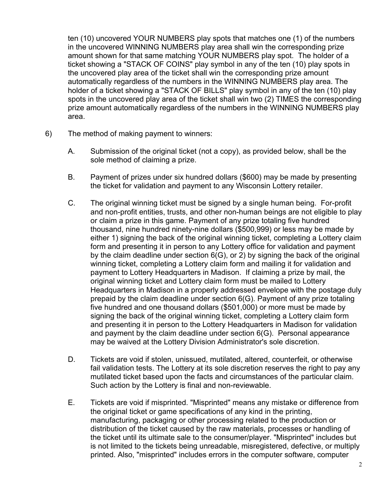ten (10) uncovered YOUR NUMBERS play spots that matches one (1) of the numbers in the uncovered WINNING NUMBERS play area shall win the corresponding prize amount shown for that same matching YOUR NUMBERS play spot. The holder of a ticket showing a "STACK OF COINS" play symbol in any of the ten (10) play spots in the uncovered play area of the ticket shall win the corresponding prize amount automatically regardless of the numbers in the WINNING NUMBERS play area. The holder of a ticket showing a "STACK OF BILLS" play symbol in any of the ten (10) play spots in the uncovered play area of the ticket shall win two (2) TIMES the corresponding prize amount automatically regardless of the numbers in the WINNING NUMBERS play area.

- 6) The method of making payment to winners:
	- A. Submission of the original ticket (not a copy), as provided below, shall be the sole method of claiming a prize.
	- B. Payment of prizes under six hundred dollars (\$600) may be made by presenting the ticket for validation and payment to any Wisconsin Lottery retailer.
	- C. The original winning ticket must be signed by a single human being. For-profit and non-profit entities, trusts, and other non-human beings are not eligible to play or claim a prize in this game. Payment of any prize totaling five hundred thousand, nine hundred ninety-nine dollars (\$500,999) or less may be made by either 1) signing the back of the original winning ticket, completing a Lottery claim form and presenting it in person to any Lottery office for validation and payment by the claim deadline under section 6(G), or 2) by signing the back of the original winning ticket, completing a Lottery claim form and mailing it for validation and payment to Lottery Headquarters in Madison. If claiming a prize by mail, the original winning ticket and Lottery claim form must be mailed to Lottery Headquarters in Madison in a properly addressed envelope with the postage duly prepaid by the claim deadline under section 6(G). Payment of any prize totaling five hundred and one thousand dollars (\$501,000) or more must be made by signing the back of the original winning ticket, completing a Lottery claim form and presenting it in person to the Lottery Headquarters in Madison for validation and payment by the claim deadline under section 6(G). Personal appearance may be waived at the Lottery Division Administrator's sole discretion.
	- D. Tickets are void if stolen, unissued, mutilated, altered, counterfeit, or otherwise fail validation tests. The Lottery at its sole discretion reserves the right to pay any mutilated ticket based upon the facts and circumstances of the particular claim. Such action by the Lottery is final and non-reviewable.
	- E. Tickets are void if misprinted. "Misprinted" means any mistake or difference from the original ticket or game specifications of any kind in the printing, manufacturing, packaging or other processing related to the production or distribution of the ticket caused by the raw materials, processes or handling of the ticket until its ultimate sale to the consumer/player. "Misprinted" includes but is not limited to the tickets being unreadable, misregistered, defective, or multiply printed. Also, "misprinted" includes errors in the computer software, computer